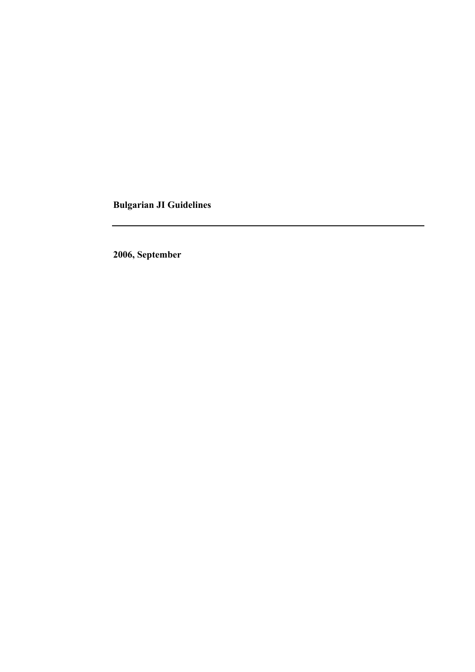**Bulgarian JI Guidelines** 

**2006, September**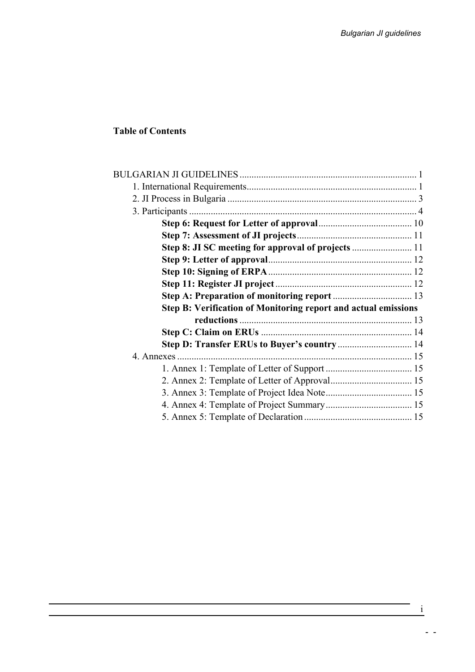## **Table of Contents**

| Step 8: JI SC meeting for approval of projects  11                    |  |
|-----------------------------------------------------------------------|--|
|                                                                       |  |
|                                                                       |  |
|                                                                       |  |
|                                                                       |  |
| <b>Step B: Verification of Monitoring report and actual emissions</b> |  |
|                                                                       |  |
|                                                                       |  |
|                                                                       |  |
|                                                                       |  |
|                                                                       |  |
|                                                                       |  |
|                                                                       |  |
|                                                                       |  |
|                                                                       |  |
|                                                                       |  |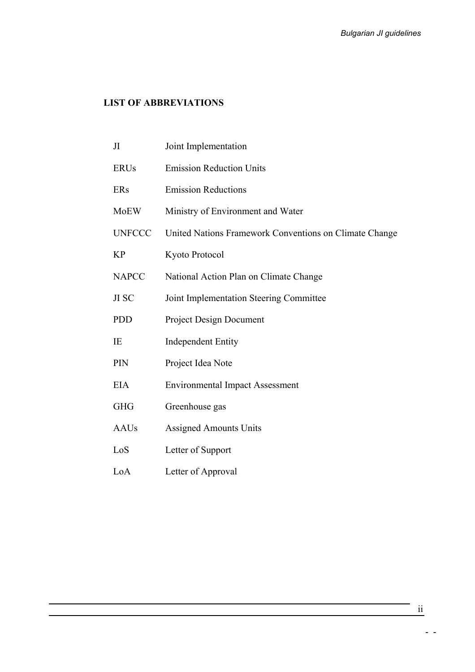## **LIST OF ABBREVIATIONS**

| JI            | Joint Implementation                                   |
|---------------|--------------------------------------------------------|
| <b>ERUs</b>   | <b>Emission Reduction Units</b>                        |
| ERs           | <b>Emission Reductions</b>                             |
| <b>MoEW</b>   | Ministry of Environment and Water                      |
| <b>UNFCCC</b> | United Nations Framework Conventions on Climate Change |
| <b>KP</b>     | Kyoto Protocol                                         |
| <b>NAPCC</b>  | National Action Plan on Climate Change                 |
| JI SC         | Joint Implementation Steering Committee                |
| <b>PDD</b>    | <b>Project Design Document</b>                         |
| IE            | <b>Independent Entity</b>                              |
| PIN           | Project Idea Note                                      |
| <b>EIA</b>    | <b>Environmental Impact Assessment</b>                 |
| <b>GHG</b>    | Greenhouse gas                                         |
| <b>AAUs</b>   | <b>Assigned Amounts Units</b>                          |
| LoS           | Letter of Support                                      |
| LoA           | Letter of Approval                                     |

ii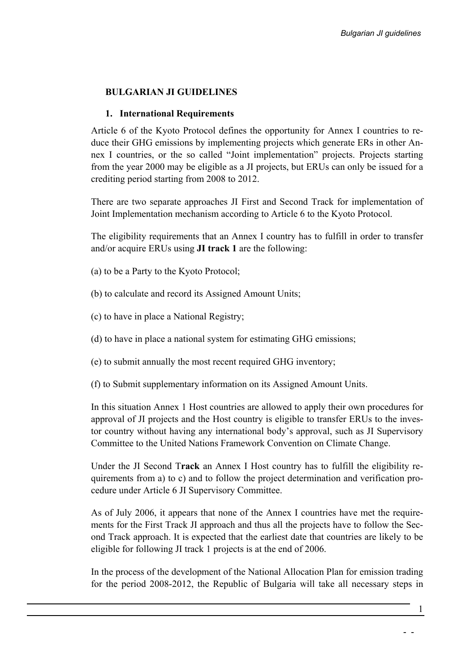### <span id="page-3-0"></span>**BULGARIAN JI GUIDELINES**

#### **1. International Requirements**

Article 6 of the Kyoto Protocol defines the opportunity for Annex I countries to reduce their GHG emissions by implementing projects which generate ERs in other Annex I countries, or the so called "Joint implementation" projects. Projects starting from the year 2000 may be eligible as a JI projects, but ERUs can only be issued for a crediting period starting from 2008 to 2012.

There are two separate approaches JI First and Second Track for implementation of Joint Implementation mechanism according to Article 6 to the Kyoto Protocol.

The eligibility requirements that an Annex I country has to fulfill in order to transfer and/or acquire ERUs using **JI track 1** are the following:

- (a) to be a Party to the Kyoto Protocol;
- (b) to calculate and record its Assigned Amount Units;
- (c) to have in place a National Registry;
- (d) to have in place a national system for estimating GHG emissions;
- (e) to submit annually the most recent required GHG inventory;
- (f) to Submit supplementary information on its Assigned Amount Units.

In this situation Annex 1 Host countries are allowed to apply their own procedures for approval of JI projects and the Host country is eligible to transfer ERUs to the investor country without having any international body's approval, such as JI Supervisory Committee to the United Nations Framework Convention on Climate Change.

Under the JI Second T**rack** an Annex I Host country has to fulfill the eligibility requirements from a) to c) and to follow the project determination and verification procedure under Article 6 JI Supervisory Committee.

As of July 2006, it appears that none of the Annex I countries have met the requirements for the First Track JI approach and thus all the projects have to follow the Second Track approach. It is expected that the earliest date that countries are likely to be eligible for following JI track 1 projects is at the end of 2006.

In the process of the development of the National Allocation Plan for emission trading for the period 2008-2012, the Republic of Bulgaria will take all necessary steps in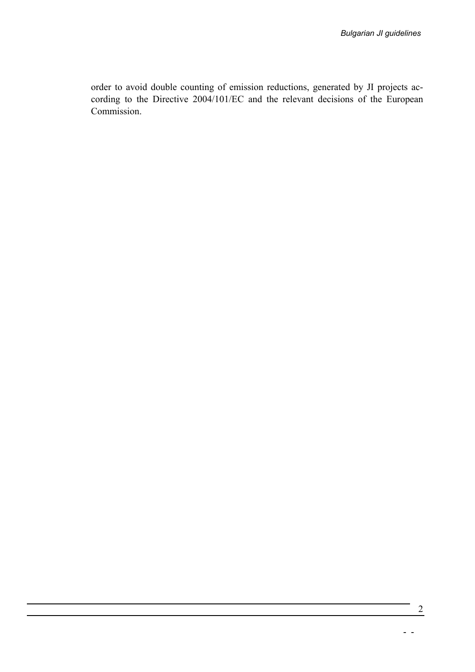order to avoid double counting of emission reductions, generated by JI projects according to the Directive 2004/101/EC and the relevant decisions of the European Commission.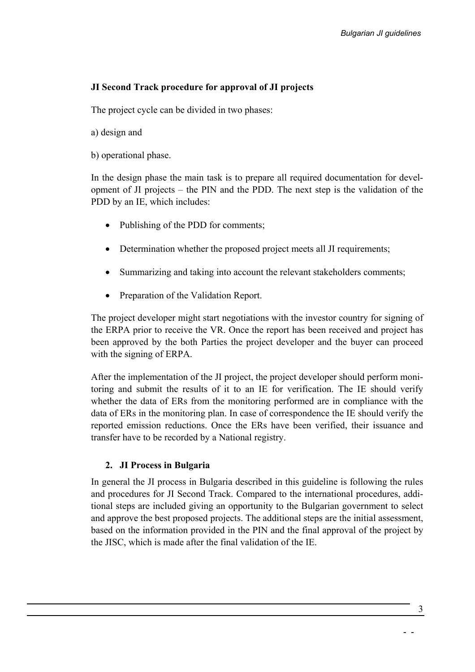### <span id="page-5-0"></span>**JI Second Track procedure for approval of JI projects**

The project cycle can be divided in two phases:

- a) design and
- b) operational phase.

In the design phase the main task is to prepare all required documentation for development of JI projects – the PIN and the PDD. The next step is the validation of the PDD by an IE, which includes:

- Publishing of the PDD for comments;
- Determination whether the proposed project meets all JI requirements;
- Summarizing and taking into account the relevant stakeholders comments;
- Preparation of the Validation Report.

The project developer might start negotiations with the investor country for signing of the ERPA prior to receive the VR. Once the report has been received and project has been approved by the both Parties the project developer and the buyer can proceed with the signing of ERPA.

After the implementation of the JI project, the project developer should perform monitoring and submit the results of it to an IE for verification. The IE should verify whether the data of ERs from the monitoring performed are in compliance with the data of ERs in the monitoring plan. In case of correspondence the IE should verify the reported emission reductions. Once the ERs have been verified, their issuance and transfer have to be recorded by a National registry.

#### **2. JI Process in Bulgaria**

In general the JI process in Bulgaria described in this guideline is following the rules and procedures for JI Second Track. Compared to the international procedures, additional steps are included giving an opportunity to the Bulgarian government to select and approve the best proposed projects. The additional steps are the initial assessment, based on the information provided in the PIN and the final approval of the project by the JISC, which is made after the final validation of the IE.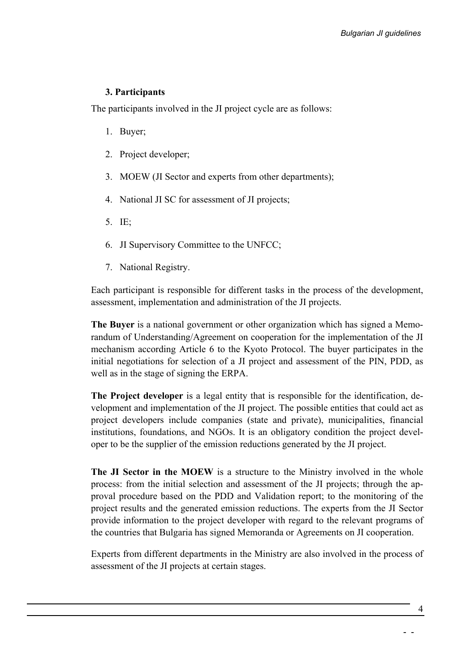### <span id="page-6-0"></span>**3. Participants**

The participants involved in the JI project cycle are as follows:

- 1. Buyer;
- 2. Project developer;
- 3. MOEW (JI Sector and experts from other departments);
- 4. National JI SC for assessment of JI projects;
- 5. IE;
- 6. JI Supervisory Committee to the UNFCC;
- 7. National Registry.

Each participant is responsible for different tasks in the process of the development, assessment, implementation and administration of the JI projects.

**The Buyer** is a national government or other organization which has signed a Memorandum of Understanding/Agreement on cooperation for the implementation of the JI mechanism according Article 6 to the Kyoto Protocol. The buyer participates in the initial negotiations for selection of a JI project and assessment of the PIN, PDD, as well as in the stage of signing the ERPA.

**The Project developer** is a legal entity that is responsible for the identification, development and implementation of the JI project. The possible entities that could act as project developers include companies (state and private), municipalities, financial institutions, foundations, and NGOs. It is an obligatory condition the project developer to be the supplier of the emission reductions generated by the JI project.

**The JI Sector in the MOEW** is a structure to the Ministry involved in the whole process: from the initial selection and assessment of the JI projects; through the approval procedure based on the PDD and Validation report; to the monitoring of the project results and the generated emission reductions. The experts from the JI Sector provide information to the project developer with regard to the relevant programs of the countries that Bulgaria has signed Memoranda or Agreements on JI cooperation.

Experts from different departments in the Ministry are also involved in the process of assessment of the JI projects at certain stages.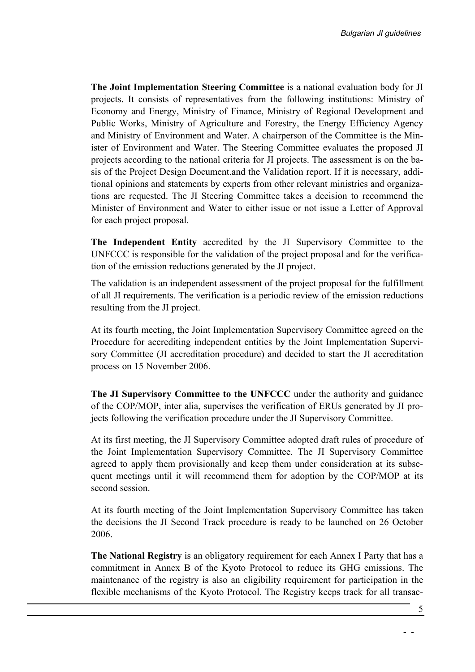**The Joint Implementation Steering Committee** is a national evaluation body for JI projects. It consists of representatives from the following institutions: Ministry of Economy and Energy, Ministry of Finance, Ministry of Regional Development and Public Works, Ministry of Agriculture and Forestry, the Energy Efficiency Agency and Ministry of Environment and Water. A chairperson of the Committee is the Minister of Environment and Water. The Steering Committee evaluates the proposed JI projects according to the national criteria for JI projects. The assessment is on the basis of the Project Design Document.and the Validation report. If it is necessary, additional opinions and statements by experts from other relevant ministries and organizations are requested. The JI Steering Committee takes a decision to recommend the Minister of Environment and Water to either issue or not issue a Letter of Approval for each project proposal.

**The Independent Entity** accredited by the JI Supervisory Committee to the UNFCCC is responsible for the validation of the project proposal and for the verification of the emission reductions generated by the JI project.

The validation is an independent assessment of the project proposal for the fulfillment of all JI requirements. The verification is a periodic review of the emission reductions resulting from the JI project.

At its [fourth meeting,](http://ji.unfccc.int/Sup_Committee/Meetings) the Joint Implementation Supervisory Committee agreed on the Procedure for accrediting independent entities by the Joint Implementation Supervisory Committee (JI accreditation procedure) and decided to start the JI accreditation process on 15 November 2006.

**The JI Supervisory Committee to the UNFCCC** under the authority and guidance of the COP/MOP, inter alia, supervises the verification of ERUs generated by JI projects following the verification procedure under the JI Supervisory Committee.

At its first [meeting,](http://ji.unfccc.int/Sup_Committee/Meetings/index.html) the JI Supervisory Committee adopted draft rules of procedure of the Joint Implementation Supervisory Committee. The JI Supervisory Committee agreed to apply them provisionally and keep them under consideration at its subsequent meetings until it will recommend them for adoption by the COP/MOP at its second session.

At its fourth meeting of the Joint Implementation Supervisory Committee has taken the decisions the JI Second Track procedure is ready to be launched on 26 October 2006.

**The National Registry** is an obligatory requirement for each Annex I Party that has a commitment in Annex B of the Kyoto Protocol to reduce its GHG emissions. The maintenance of the registry is also an eligibility requirement for participation in the flexible mechanisms of the Kyoto Protocol. The Registry keeps track for all transac-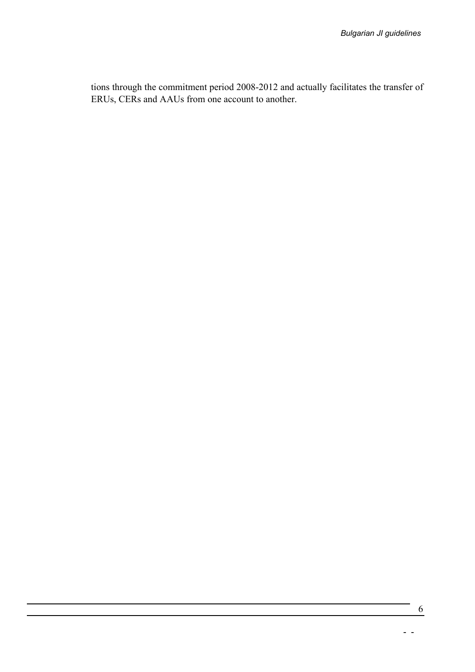tions through the commitment period 2008-2012 and actually facilitates the transfer of ERUs, CERs and AAUs from one account to another.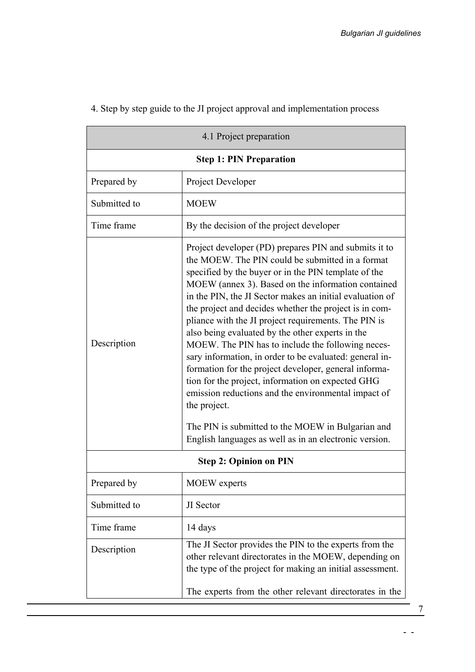|              | 4.1 Project preparation                                                                                                                                                                                                                                                                                                                                                                                                                                                                                                                                                                                                                                                                                                                                                                                                                                                       |
|--------------|-------------------------------------------------------------------------------------------------------------------------------------------------------------------------------------------------------------------------------------------------------------------------------------------------------------------------------------------------------------------------------------------------------------------------------------------------------------------------------------------------------------------------------------------------------------------------------------------------------------------------------------------------------------------------------------------------------------------------------------------------------------------------------------------------------------------------------------------------------------------------------|
|              | <b>Step 1: PIN Preparation</b>                                                                                                                                                                                                                                                                                                                                                                                                                                                                                                                                                                                                                                                                                                                                                                                                                                                |
| Prepared by  | Project Developer                                                                                                                                                                                                                                                                                                                                                                                                                                                                                                                                                                                                                                                                                                                                                                                                                                                             |
| Submitted to | <b>MOEW</b>                                                                                                                                                                                                                                                                                                                                                                                                                                                                                                                                                                                                                                                                                                                                                                                                                                                                   |
| Time frame   | By the decision of the project developer                                                                                                                                                                                                                                                                                                                                                                                                                                                                                                                                                                                                                                                                                                                                                                                                                                      |
| Description  | Project developer (PD) prepares PIN and submits it to<br>the MOEW. The PIN could be submitted in a format<br>specified by the buyer or in the PIN template of the<br>MOEW (annex 3). Based on the information contained<br>in the PIN, the JI Sector makes an initial evaluation of<br>the project and decides whether the project is in com-<br>pliance with the JI project requirements. The PIN is<br>also being evaluated by the other experts in the<br>MOEW. The PIN has to include the following neces-<br>sary information, in order to be evaluated: general in-<br>formation for the project developer, general informa-<br>tion for the project, information on expected GHG<br>emission reductions and the environmental impact of<br>the project.<br>The PIN is submitted to the MOEW in Bulgarian and<br>English languages as well as in an electronic version. |
|              | <b>Step 2: Opinion on PIN</b>                                                                                                                                                                                                                                                                                                                                                                                                                                                                                                                                                                                                                                                                                                                                                                                                                                                 |
| Prepared by  | <b>MOEW</b> experts                                                                                                                                                                                                                                                                                                                                                                                                                                                                                                                                                                                                                                                                                                                                                                                                                                                           |
| Submitted to | JI Sector                                                                                                                                                                                                                                                                                                                                                                                                                                                                                                                                                                                                                                                                                                                                                                                                                                                                     |
| Time frame   | 14 days                                                                                                                                                                                                                                                                                                                                                                                                                                                                                                                                                                                                                                                                                                                                                                                                                                                                       |
| Description  | The JI Sector provides the PIN to the experts from the<br>other relevant directorates in the MOEW, depending on<br>the type of the project for making an initial assessment.                                                                                                                                                                                                                                                                                                                                                                                                                                                                                                                                                                                                                                                                                                  |
|              | The experts from the other relevant directorates in the                                                                                                                                                                                                                                                                                                                                                                                                                                                                                                                                                                                                                                                                                                                                                                                                                       |

# 4. Step by step guide to the JI project approval and implementation process

7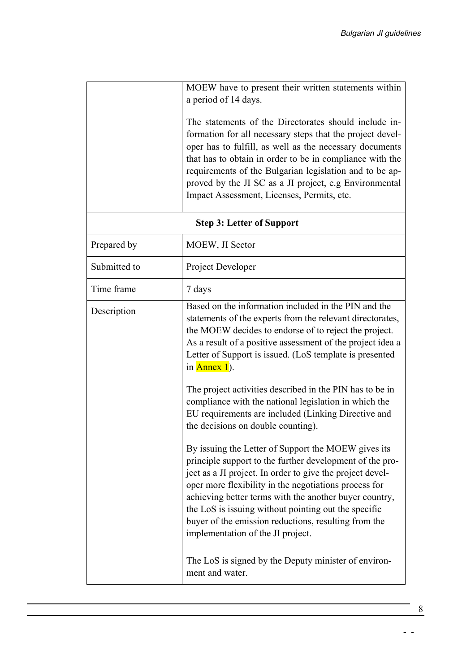|              | MOEW have to present their written statements within<br>a period of 14 days.<br>The statements of the Directorates should include in-<br>formation for all necessary steps that the project devel-<br>oper has to fulfill, as well as the necessary documents<br>that has to obtain in order to be in compliance with the<br>requirements of the Bulgarian legislation and to be ap-<br>proved by the JI SC as a JI project, e.g Environmental<br>Impact Assessment, Licenses, Permits, etc.                                             |
|--------------|------------------------------------------------------------------------------------------------------------------------------------------------------------------------------------------------------------------------------------------------------------------------------------------------------------------------------------------------------------------------------------------------------------------------------------------------------------------------------------------------------------------------------------------|
|              | <b>Step 3: Letter of Support</b>                                                                                                                                                                                                                                                                                                                                                                                                                                                                                                         |
| Prepared by  | MOEW, JI Sector                                                                                                                                                                                                                                                                                                                                                                                                                                                                                                                          |
| Submitted to | Project Developer                                                                                                                                                                                                                                                                                                                                                                                                                                                                                                                        |
| Time frame   | 7 days                                                                                                                                                                                                                                                                                                                                                                                                                                                                                                                                   |
| Description  | Based on the information included in the PIN and the<br>statements of the experts from the relevant directorates,<br>the MOEW decides to endorse of to reject the project.<br>As a result of a positive assessment of the project idea a<br>Letter of Support is issued. (LoS template is presented<br>in $Annex 1$ ).<br>The project activities described in the PIN has to be in<br>compliance with the national legislation in which the<br>EU requirements are included (Linking Directive and<br>the decisions on double counting). |
|              | By issuing the Letter of Support the MOEW gives its<br>principle support to the further development of the pro-<br>ject as a JI project. In order to give the project devel-<br>oper more flexibility in the negotiations process for<br>achieving better terms with the another buyer country,<br>the LoS is issuing without pointing out the specific<br>buyer of the emission reductions, resulting from the<br>implementation of the JI project.<br>The LoS is signed by the Deputy minister of environ-<br>ment and water.          |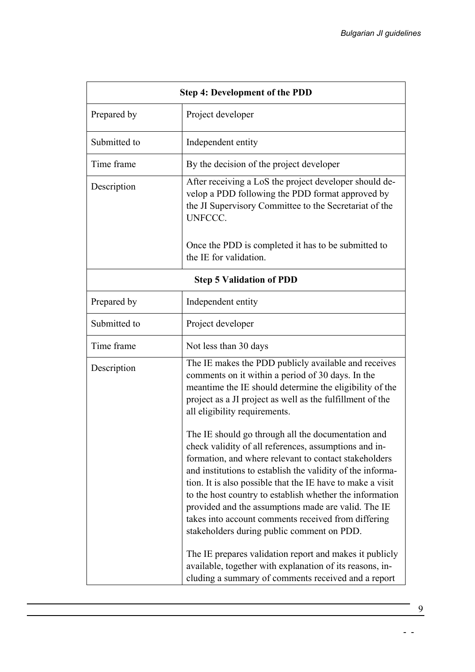|              | <b>Step 4: Development of the PDD</b>                                                                                                                                                                                                                                                                                                                                                                                                                                                                                                                                               |
|--------------|-------------------------------------------------------------------------------------------------------------------------------------------------------------------------------------------------------------------------------------------------------------------------------------------------------------------------------------------------------------------------------------------------------------------------------------------------------------------------------------------------------------------------------------------------------------------------------------|
| Prepared by  | Project developer                                                                                                                                                                                                                                                                                                                                                                                                                                                                                                                                                                   |
| Submitted to | Independent entity                                                                                                                                                                                                                                                                                                                                                                                                                                                                                                                                                                  |
| Time frame   | By the decision of the project developer                                                                                                                                                                                                                                                                                                                                                                                                                                                                                                                                            |
| Description  | After receiving a LoS the project developer should de-<br>velop a PDD following the PDD format approved by<br>the JI Supervisory Committee to the Secretariat of the<br><b>UNFCCC.</b>                                                                                                                                                                                                                                                                                                                                                                                              |
|              | Once the PDD is completed it has to be submitted to<br>the IE for validation.                                                                                                                                                                                                                                                                                                                                                                                                                                                                                                       |
|              | <b>Step 5 Validation of PDD</b>                                                                                                                                                                                                                                                                                                                                                                                                                                                                                                                                                     |
| Prepared by  | Independent entity                                                                                                                                                                                                                                                                                                                                                                                                                                                                                                                                                                  |
| Submitted to | Project developer                                                                                                                                                                                                                                                                                                                                                                                                                                                                                                                                                                   |
| Time frame   | Not less than 30 days                                                                                                                                                                                                                                                                                                                                                                                                                                                                                                                                                               |
| Description  | The IE makes the PDD publicly available and receives<br>comments on it within a period of 30 days. In the<br>meantime the IE should determine the eligibility of the<br>project as a JI project as well as the fulfillment of the<br>all eligibility requirements.                                                                                                                                                                                                                                                                                                                  |
|              | The IE should go through all the documentation and<br>check validity of all references, assumptions and in-<br>formation, and where relevant to contact stakeholders<br>and institutions to establish the validity of the informa-<br>tion. It is also possible that the IE have to make a visit<br>to the host country to establish whether the information<br>provided and the assumptions made are valid. The IE<br>takes into account comments received from differing<br>stakeholders during public comment on PDD.<br>The IE prepares validation report and makes it publicly |
|              | available, together with explanation of its reasons, in-<br>cluding a summary of comments received and a report                                                                                                                                                                                                                                                                                                                                                                                                                                                                     |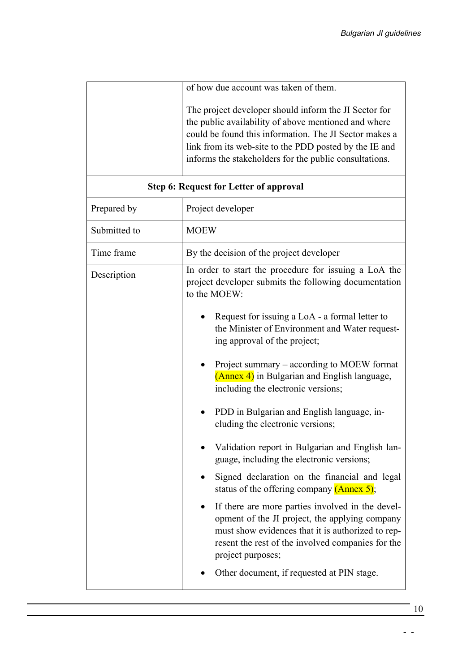<span id="page-12-0"></span>

|              | of how due account was taken of them.<br>The project developer should inform the JI Sector for<br>the public availability of above mentioned and where<br>could be found this information. The JI Sector makes a<br>link from its web-site to the PDD posted by the IE and<br>informs the stakeholders for the public consultations.                                                                                                                                                                                                                                                                                                                                                                                                                                                                                                                                                                                                                                         |
|--------------|------------------------------------------------------------------------------------------------------------------------------------------------------------------------------------------------------------------------------------------------------------------------------------------------------------------------------------------------------------------------------------------------------------------------------------------------------------------------------------------------------------------------------------------------------------------------------------------------------------------------------------------------------------------------------------------------------------------------------------------------------------------------------------------------------------------------------------------------------------------------------------------------------------------------------------------------------------------------------|
|              | <b>Step 6: Request for Letter of approval</b>                                                                                                                                                                                                                                                                                                                                                                                                                                                                                                                                                                                                                                                                                                                                                                                                                                                                                                                                |
| Prepared by  | Project developer                                                                                                                                                                                                                                                                                                                                                                                                                                                                                                                                                                                                                                                                                                                                                                                                                                                                                                                                                            |
| Submitted to | <b>MOEW</b>                                                                                                                                                                                                                                                                                                                                                                                                                                                                                                                                                                                                                                                                                                                                                                                                                                                                                                                                                                  |
| Time frame   | By the decision of the project developer                                                                                                                                                                                                                                                                                                                                                                                                                                                                                                                                                                                                                                                                                                                                                                                                                                                                                                                                     |
| Description  | In order to start the procedure for issuing a LoA the<br>project developer submits the following documentation<br>to the MOEW:<br>Request for issuing a LoA - a formal letter to<br>the Minister of Environment and Water request-<br>ing approval of the project;<br>Project summary – according to MOEW format<br>(Annex 4) in Bulgarian and English language,<br>including the electronic versions;<br>PDD in Bulgarian and English language, in-<br>cluding the electronic versions;<br>Validation report in Bulgarian and English lan-<br>guage, including the electronic versions;<br>Signed declaration on the financial and legal<br>status of the offering company $(Annex 5)$ ;<br>If there are more parties involved in the devel-<br>opment of the JI project, the applying company<br>must show evidences that it is authorized to rep-<br>resent the rest of the involved companies for the<br>project purposes;<br>Other document, if requested at PIN stage. |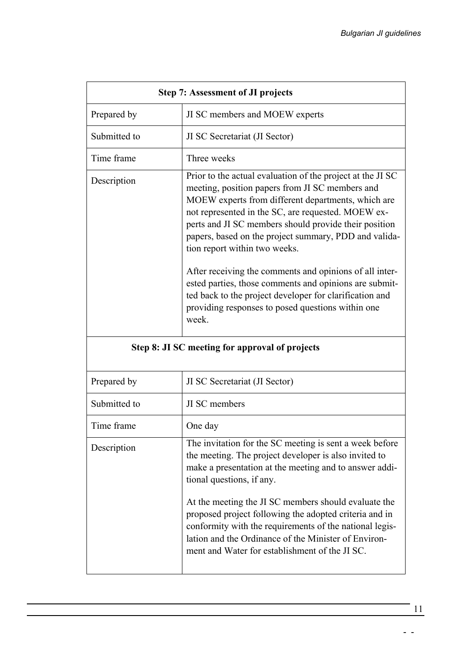<span id="page-13-0"></span>

| <b>Step 7: Assessment of JI projects</b>                                                                                                                                                                                                                                                                                                                                                                                                                                                                                                                                                                                   |
|----------------------------------------------------------------------------------------------------------------------------------------------------------------------------------------------------------------------------------------------------------------------------------------------------------------------------------------------------------------------------------------------------------------------------------------------------------------------------------------------------------------------------------------------------------------------------------------------------------------------------|
| JI SC members and MOEW experts                                                                                                                                                                                                                                                                                                                                                                                                                                                                                                                                                                                             |
| JI SC Secretariat (JI Sector)                                                                                                                                                                                                                                                                                                                                                                                                                                                                                                                                                                                              |
| Three weeks                                                                                                                                                                                                                                                                                                                                                                                                                                                                                                                                                                                                                |
| Prior to the actual evaluation of the project at the JI SC<br>meeting, position papers from JI SC members and<br>MOEW experts from different departments, which are<br>not represented in the SC, are requested. MOEW ex-<br>perts and JI SC members should provide their position<br>papers, based on the project summary, PDD and valida-<br>tion report within two weeks.<br>After receiving the comments and opinions of all inter-<br>ested parties, those comments and opinions are submit-<br>ted back to the project developer for clarification and<br>providing responses to posed questions within one<br>week. |
| Step 8: JI SC meeting for approval of projects                                                                                                                                                                                                                                                                                                                                                                                                                                                                                                                                                                             |
| JI SC Secretariat (JI Sector)                                                                                                                                                                                                                                                                                                                                                                                                                                                                                                                                                                                              |
| JI SC members                                                                                                                                                                                                                                                                                                                                                                                                                                                                                                                                                                                                              |
| One day                                                                                                                                                                                                                                                                                                                                                                                                                                                                                                                                                                                                                    |
| The invitation for the SC meeting is sent a week before<br>the meeting. The project developer is also invited to<br>make a presentation at the meeting and to answer addi-<br>tional questions, if any.<br>At the meeting the JI SC members should evaluate the<br>proposed project following the adopted criteria and in<br>conformity with the requirements of the national legis-<br>lation and the Ordinance of the Minister of Environ-<br>ment and Water for establishment of the JI SC.                                                                                                                             |
|                                                                                                                                                                                                                                                                                                                                                                                                                                                                                                                                                                                                                            |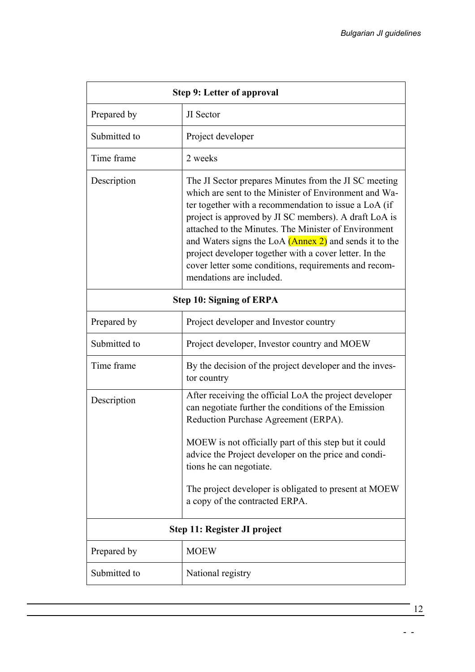<span id="page-14-0"></span>

|              | <b>Step 9: Letter of approval</b>                                                                                                                                                                                                                                                                                                                                                                                                                                                                 |
|--------------|---------------------------------------------------------------------------------------------------------------------------------------------------------------------------------------------------------------------------------------------------------------------------------------------------------------------------------------------------------------------------------------------------------------------------------------------------------------------------------------------------|
| Prepared by  | JI Sector                                                                                                                                                                                                                                                                                                                                                                                                                                                                                         |
| Submitted to | Project developer                                                                                                                                                                                                                                                                                                                                                                                                                                                                                 |
| Time frame   | 2 weeks                                                                                                                                                                                                                                                                                                                                                                                                                                                                                           |
| Description  | The JI Sector prepares Minutes from the JI SC meeting<br>which are sent to the Minister of Environment and Wa-<br>ter together with a recommendation to issue a LoA (if<br>project is approved by JI SC members). A draft LoA is<br>attached to the Minutes. The Minister of Environment<br>and Waters signs the LoA (Annex 2) and sends it to the<br>project developer together with a cover letter. In the<br>cover letter some conditions, requirements and recom-<br>mendations are included. |
|              | <b>Step 10: Signing of ERPA</b>                                                                                                                                                                                                                                                                                                                                                                                                                                                                   |
| Prepared by  | Project developer and Investor country                                                                                                                                                                                                                                                                                                                                                                                                                                                            |
| Submitted to | Project developer, Investor country and MOEW                                                                                                                                                                                                                                                                                                                                                                                                                                                      |
| Time frame   | By the decision of the project developer and the inves-<br>tor country                                                                                                                                                                                                                                                                                                                                                                                                                            |
| Description  | After receiving the official LoA the project developer<br>can negotiate further the conditions of the Emission<br>Reduction Purchase Agreement (ERPA).<br>MOEW is not officially part of this step but it could<br>advice the Project developer on the price and condi-<br>tions he can negotiate.<br>The project developer is obligated to present at MOEW<br>a copy of the contracted ERPA.                                                                                                     |
|              | Step 11: Register JI project                                                                                                                                                                                                                                                                                                                                                                                                                                                                      |
| Prepared by  | <b>MOEW</b>                                                                                                                                                                                                                                                                                                                                                                                                                                                                                       |
| Submitted to | National registry                                                                                                                                                                                                                                                                                                                                                                                                                                                                                 |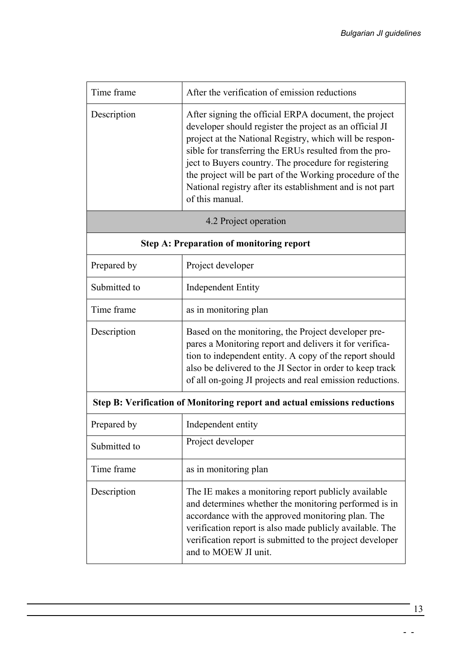<span id="page-15-0"></span>

| Time frame   | After the verification of emission reductions                                                                                                                                                                                                                                                                                                                                                                                              |
|--------------|--------------------------------------------------------------------------------------------------------------------------------------------------------------------------------------------------------------------------------------------------------------------------------------------------------------------------------------------------------------------------------------------------------------------------------------------|
| Description  | After signing the official ERPA document, the project<br>developer should register the project as an official JI<br>project at the National Registry, which will be respon-<br>sible for transferring the ERUs resulted from the pro-<br>ject to Buyers country. The procedure for registering<br>the project will be part of the Working procedure of the<br>National registry after its establishment and is not part<br>of this manual. |
|              | 4.2 Project operation                                                                                                                                                                                                                                                                                                                                                                                                                      |
|              | <b>Step A: Preparation of monitoring report</b>                                                                                                                                                                                                                                                                                                                                                                                            |
| Prepared by  | Project developer                                                                                                                                                                                                                                                                                                                                                                                                                          |
| Submitted to | <b>Independent Entity</b>                                                                                                                                                                                                                                                                                                                                                                                                                  |
| Time frame   | as in monitoring plan                                                                                                                                                                                                                                                                                                                                                                                                                      |
| Description  | Based on the monitoring, the Project developer pre-<br>pares a Monitoring report and delivers it for verifica-<br>tion to independent entity. A copy of the report should<br>also be delivered to the JI Sector in order to keep track<br>of all on-going JI projects and real emission reductions.                                                                                                                                        |
|              | Step B: Verification of Monitoring report and actual emissions reductions                                                                                                                                                                                                                                                                                                                                                                  |
| Prepared by  | Independent entity                                                                                                                                                                                                                                                                                                                                                                                                                         |
| Submitted to | Project developer                                                                                                                                                                                                                                                                                                                                                                                                                          |
| Time frame   | as in monitoring plan                                                                                                                                                                                                                                                                                                                                                                                                                      |
| Description  | The IE makes a monitoring report publicly available<br>and determines whether the monitoring performed is in<br>accordance with the approved monitoring plan. The<br>verification report is also made publicly available. The<br>verification report is submitted to the project developer<br>and to MOEW JI unit.                                                                                                                         |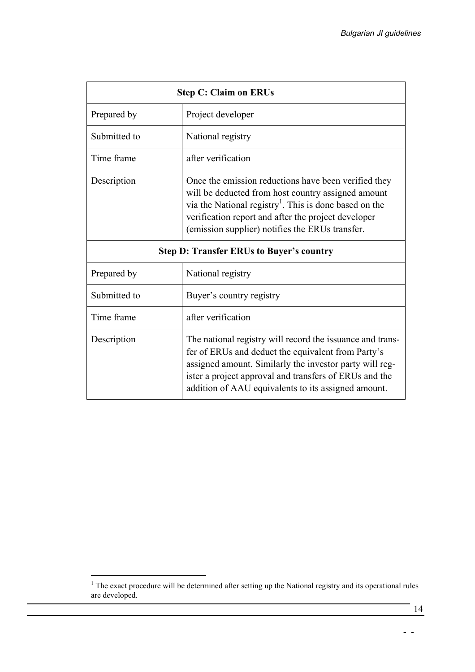<span id="page-16-0"></span>

|              | <b>Step C: Claim on ERUs</b>                                                                                                                                                                                                                                                                |
|--------------|---------------------------------------------------------------------------------------------------------------------------------------------------------------------------------------------------------------------------------------------------------------------------------------------|
| Prepared by  | Project developer                                                                                                                                                                                                                                                                           |
| Submitted to | National registry                                                                                                                                                                                                                                                                           |
| Time frame   | after verification                                                                                                                                                                                                                                                                          |
| Description  | Once the emission reductions have been verified they<br>will be deducted from host country assigned amount<br>via the National registry <sup>1</sup> . This is done based on the<br>verification report and after the project developer<br>(emission supplier) notifies the ERUs transfer.  |
|              | <b>Step D: Transfer ERUs to Buyer's country</b>                                                                                                                                                                                                                                             |
| Prepared by  | National registry                                                                                                                                                                                                                                                                           |
| Submitted to | Buyer's country registry                                                                                                                                                                                                                                                                    |
| Time frame   | after verification                                                                                                                                                                                                                                                                          |
| Description  | The national registry will record the issuance and trans-<br>fer of ERUs and deduct the equivalent from Party's<br>assigned amount. Similarly the investor party will reg-<br>ister a project approval and transfers of ERUs and the<br>addition of AAU equivalents to its assigned amount. |

<span id="page-16-1"></span><sup>&</sup>lt;sup>1</sup> The exact procedure will be determined after setting up the National registry and its operational rules are developed.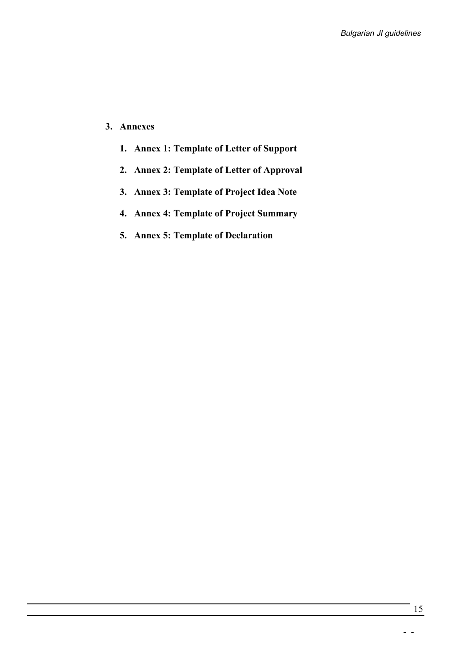#### <span id="page-17-0"></span>**3. Annexes**

- **1. Annex 1: Template of Letter of Support**
- **2. Annex 2: Template of Letter of Approval**
- **3. Annex 3: Template of Project Idea Note**
- **4. Annex 4: Template of Project Summary**
- **5. Annex 5: Template of Declaration**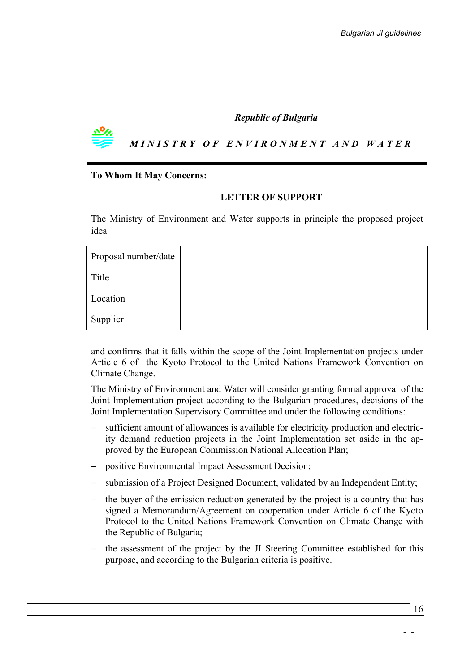#### *Republic of Bulgaria*

*MINISTRY O F ENVIRONMENT AND WATER*

#### **To Whom It May Concerns:**

#### **LETTER OF SUPPORT**

The Ministry of Environment and Water supports in principle the proposed project idea

| Proposal number/date |  |
|----------------------|--|
| Title                |  |
| Location             |  |
| Supplier             |  |

and confirms that it falls within the scope of the Joint Implementation projects under Article 6 of the Kyoto Protocol to the United Nations Framework Convention on Climate Change.

The Ministry of Environment and Water will consider granting formal approval of the Joint Implementation project according to the Bulgarian procedures, decisions of the Joint Implementation Supervisory Committee and under the following conditions:

- sufficient amount of allowances is available for electricity production and electricity demand reduction projects in the Joint Implementation set aside in the approved by the European Commission National Allocation Plan;
- − positive Environmental Impact Assessment Decision;
- − submission of a Project Designed Document, validated by an Independent Entity;
- − the buyer of the emission reduction generated by the project is a country that has signed a Memorandum/Agreement on cooperation under Article 6 of the Kyoto Protocol to the United Nations Framework Convention on Climate Change with the Republic of Bulgaria;
- the assessment of the project by the JI Steering Committee established for this purpose, and according to the Bulgarian criteria is positive.

16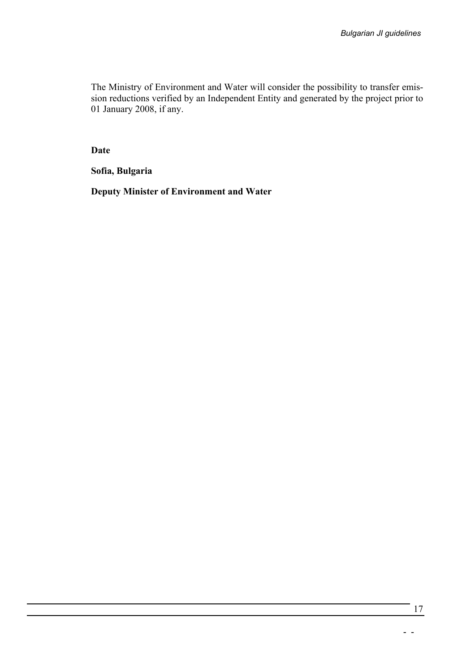The Ministry of Environment and Water will consider the possibility to transfer emission reductions verified by an Independent Entity and generated by the project prior to 01 January 2008, if any.

**Date** 

**Sofia, Bulgaria** 

**Deputy Minister of Environment and Water**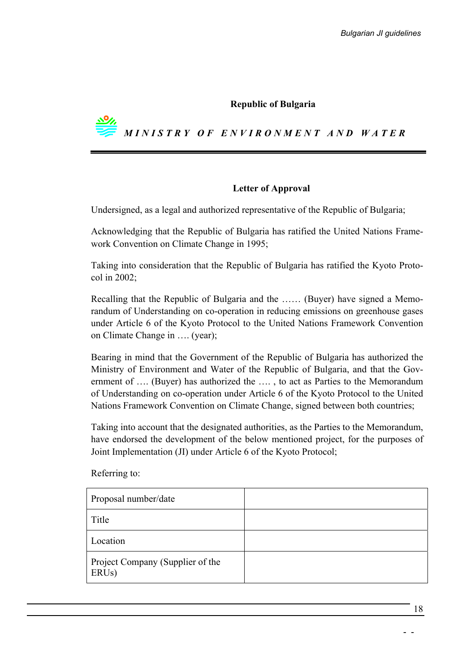#### **Republic of Bulgaria**



#### **Letter of Approval**

Undersigned, as a legal and authorized representative of the Republic of Bulgaria;

Acknowledging that the Republic of Bulgaria has ratified the United Nations Framework Convention on Climate Change in 1995;

Taking into consideration that the Republic of Bulgaria has ratified the Kyoto Protocol in 2002;

Recalling that the Republic of Bulgaria and the …… (Buyer) have signed a Memorandum of Understanding on co-operation in reducing emissions on greenhouse gases under Article 6 of the Kyoto Protocol to the United Nations Framework Convention on Climate Change in …. (year);

Bearing in mind that the Government of the Republic of Bulgaria has authorized the Ministry of Environment and Water of the Republic of Bulgaria, and that the Government of …. (Buyer) has authorized the …. , to act as Parties to the Memorandum of Understanding on co-operation under Article 6 of the Kyoto Protocol to the United Nations Framework Convention on Climate Change, signed between both countries;

Taking into account that the designated authorities, as the Parties to the Memorandum, have endorsed the development of the below mentioned project, for the purposes of Joint Implementation (JI) under Article 6 of the Kyoto Protocol;

Proposal number/date Title Location Project Company (Supplier of the ERUs)

Referring to: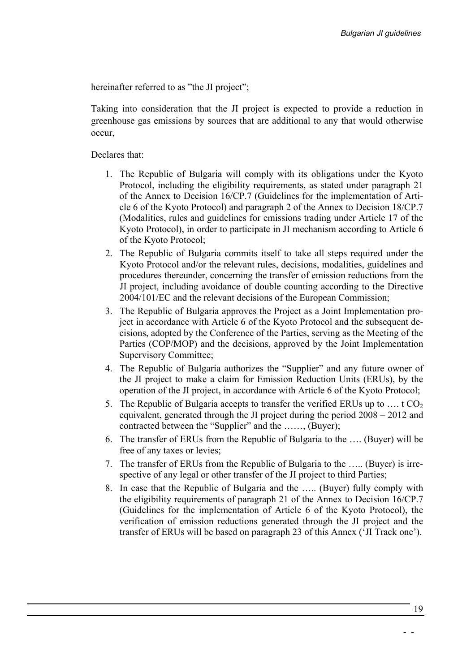hereinafter referred to as "the JI project";

Taking into consideration that the JI project is expected to provide a reduction in greenhouse gas emissions by sources that are additional to any that would otherwise occur,

Declares that:

- 1. The Republic of Bulgaria will comply with its obligations under the Kyoto Protocol, including the eligibility requirements, as stated under paragraph 21 of the Annex to Decision 16/CP.7 (Guidelines for the implementation of Article 6 of the Kyoto Protocol) and paragraph 2 of the Annex to Decision 18/CP.7 (Modalities, rules and guidelines for emissions trading under Article 17 of the Kyoto Protocol), in order to participate in JI mechanism according to Article 6 of the Kyoto Protocol;
- 2. The Republic of Bulgaria commits itself to take all steps required under the Kyoto Protocol and/or the relevant rules, decisions, modalities, guidelines and procedures thereunder, concerning the transfer of emission reductions from the JI project, including avoidance of double counting according to the Directive 2004/101/EC and the relevant decisions of the European Commission;
- 3. The Republic of Bulgaria approves the Project as a Joint Implementation project in accordance with Article 6 of the Kyoto Protocol and the subsequent decisions, adopted by the Conference of the Parties, serving as the Meeting of the Parties (COP/MOP) and the decisions, approved by the Joint Implementation Supervisory Committee;
- 4. The Republic of Bulgaria authorizes the "Supplier" and any future owner of the JI project to make a claim for Emission Reduction Units (ERUs), by the operation of the JI project, in accordance with Article 6 of the Kyoto Protocol;
- 5. The Republic of Bulgaria accepts to transfer the verified ERUs up to ... t  $CO<sub>2</sub>$ equivalent, generated through the JI project during the period 2008 – 2012 and contracted between the "Supplier" and the ……, (Buyer);
- 6. The transfer of ERUs from the Republic of Bulgaria to the …. (Buyer) will be free of any taxes or levies;
- 7. The transfer of ERUs from the Republic of Bulgaria to the ….. (Buyer) is irrespective of any legal or other transfer of the JI project to third Parties;
- 8. In case that the Republic of Bulgaria and the ….. (Buyer) fully comply with the eligibility requirements of paragraph 21 of the Annex to Decision 16/CP.7 (Guidelines for the implementation of Article 6 of the Kyoto Protocol), the verification of emission reductions generated through the JI project and the transfer of ERUs will be based on paragraph 23 of this Annex ('JI Track one').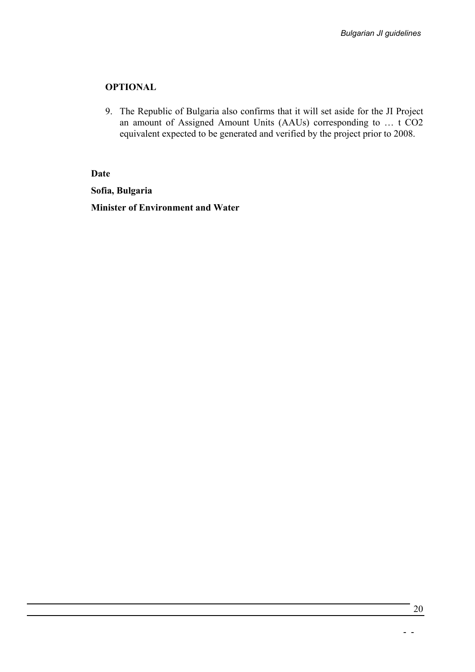#### **OPTIONAL**

9. The Republic of Bulgaria also confirms that it will set aside for the JI Project an amount of Assigned Amount Units (AAUs) corresponding to … t CO2 equivalent expected to be generated and verified by the project prior to 2008.

#### **Date**

**Sofia, Bulgaria** 

**Minister of Environment and Water**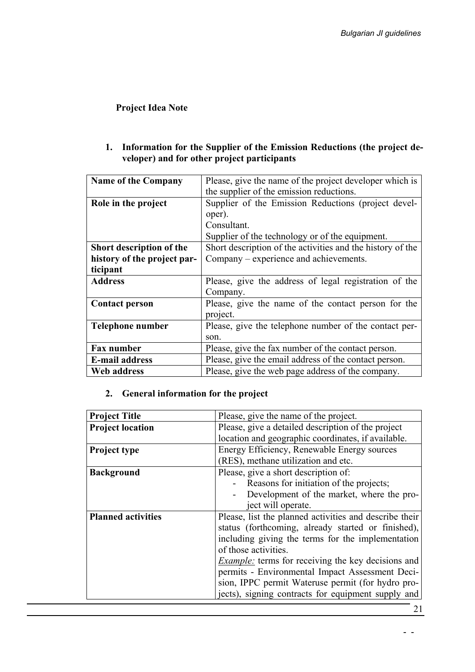## **Project Idea Note**

### **1. Information for the Supplier of the Emission Reductions (the project developer) and for other project participants**

| <b>Name of the Company</b>  | Please, give the name of the project developer which is    |
|-----------------------------|------------------------------------------------------------|
|                             | the supplier of the emission reductions.                   |
| Role in the project         | Supplier of the Emission Reductions (project devel-        |
|                             | oper).                                                     |
|                             | Consultant.                                                |
|                             | Supplier of the technology or of the equipment.            |
| Short description of the    | Short description of the activities and the history of the |
| history of the project par- | Company – experience and achievements.                     |
| ticipant                    |                                                            |
|                             |                                                            |
| <b>Address</b>              | Please, give the address of legal registration of the      |
|                             | Company.                                                   |
| <b>Contact person</b>       | Please, give the name of the contact person for the        |
|                             | project.                                                   |
| Telephone number            | Please, give the telephone number of the contact per-      |
|                             | son.                                                       |
| <b>Fax number</b>           | Please, give the fax number of the contact person.         |
| <b>E-mail address</b>       | Please, give the email address of the contact person.      |

## **2. General information for the project**

| <b>Project Title</b>      | Please, give the name of the project.                     |  |  |  |  |  |  |
|---------------------------|-----------------------------------------------------------|--|--|--|--|--|--|
| <b>Project location</b>   | Please, give a detailed description of the project        |  |  |  |  |  |  |
|                           | location and geographic coordinates, if available.        |  |  |  |  |  |  |
| <b>Project type</b>       | Energy Efficiency, Renewable Energy sources               |  |  |  |  |  |  |
|                           | (RES), methane utilization and etc.                       |  |  |  |  |  |  |
| <b>Background</b>         | Please, give a short description of:                      |  |  |  |  |  |  |
|                           | Reasons for initiation of the projects;                   |  |  |  |  |  |  |
|                           | Development of the market, where the pro-                 |  |  |  |  |  |  |
|                           | ject will operate.                                        |  |  |  |  |  |  |
| <b>Planned activities</b> | Please, list the planned activities and describe their    |  |  |  |  |  |  |
|                           | status (forthcoming, already started or finished),        |  |  |  |  |  |  |
|                           | including giving the terms for the implementation         |  |  |  |  |  |  |
|                           | of those activities.                                      |  |  |  |  |  |  |
|                           | <i>Example:</i> terms for receiving the key decisions and |  |  |  |  |  |  |
|                           | permits - Environmental Impact Assessment Deci-           |  |  |  |  |  |  |
|                           | sion, IPPC permit Wateruse permit (for hydro pro-         |  |  |  |  |  |  |
|                           | jects), signing contracts for equipment supply and        |  |  |  |  |  |  |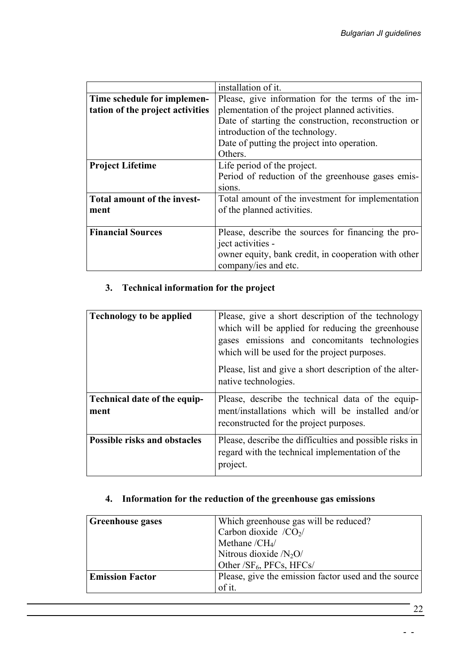|                                  | installation of it.                                  |  |  |  |  |  |  |  |
|----------------------------------|------------------------------------------------------|--|--|--|--|--|--|--|
| Time schedule for implemen-      | Please, give information for the terms of the im-    |  |  |  |  |  |  |  |
| tation of the project activities | plementation of the project planned activities.      |  |  |  |  |  |  |  |
|                                  | Date of starting the construction, reconstruction or |  |  |  |  |  |  |  |
|                                  | introduction of the technology.                      |  |  |  |  |  |  |  |
|                                  | Date of putting the project into operation.          |  |  |  |  |  |  |  |
|                                  | Others.                                              |  |  |  |  |  |  |  |
| <b>Project Lifetime</b>          | Life period of the project.                          |  |  |  |  |  |  |  |
|                                  | Period of reduction of the greenhouse gases emis-    |  |  |  |  |  |  |  |
|                                  | sions.                                               |  |  |  |  |  |  |  |
| Total amount of the invest-      | Total amount of the investment for implementation    |  |  |  |  |  |  |  |
| ment                             | of the planned activities.                           |  |  |  |  |  |  |  |
|                                  |                                                      |  |  |  |  |  |  |  |
| <b>Financial Sources</b>         | Please, describe the sources for financing the pro-  |  |  |  |  |  |  |  |
|                                  | ject activities -                                    |  |  |  |  |  |  |  |
|                                  | owner equity, bank credit, in cooperation with other |  |  |  |  |  |  |  |
|                                  | company/ies and etc.                                 |  |  |  |  |  |  |  |

## **3. Technical information for the project**

| <b>Technology to be applied</b>      | Please, give a short description of the technology<br>which will be applied for reducing the greenhouse<br>gases emissions and concomitants technologies<br>which will be used for the project purposes. |  |  |  |  |  |
|--------------------------------------|----------------------------------------------------------------------------------------------------------------------------------------------------------------------------------------------------------|--|--|--|--|--|
|                                      | Please, list and give a short description of the alter-<br>native technologies.                                                                                                                          |  |  |  |  |  |
| Technical date of the equip-<br>ment | Please, describe the technical data of the equip-<br>ment/installations which will be installed and/or<br>reconstructed for the project purposes.                                                        |  |  |  |  |  |
| <b>Possible risks and obstacles</b>  | Please, describe the difficulties and possible risks in<br>regard with the technical implementation of the<br>project.                                                                                   |  |  |  |  |  |

## **4. Information for the reduction of the greenhouse gas emissions**

| <b>Greenhouse gases</b> | Which greenhouse gas will be reduced?                |
|-------------------------|------------------------------------------------------|
|                         | Carbon dioxide $/CO2/$                               |
|                         | Methane $/CH4$                                       |
|                         | Nitrous dioxide $/N_2O/$                             |
|                         | Other /SF <sub>6</sub> , PFCs, HFCs/                 |
| <b>Emission Factor</b>  | Please, give the emission factor used and the source |
|                         | of it.                                               |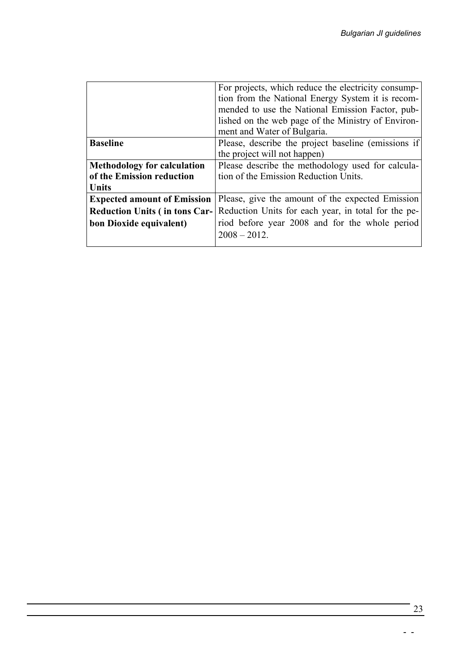|                                      | For projects, which reduce the electricity consump-  |  |  |  |  |  |  |  |
|--------------------------------------|------------------------------------------------------|--|--|--|--|--|--|--|
|                                      | tion from the National Energy System it is recom-    |  |  |  |  |  |  |  |
|                                      | mended to use the National Emission Factor, pub-     |  |  |  |  |  |  |  |
|                                      | lished on the web page of the Ministry of Environ-   |  |  |  |  |  |  |  |
|                                      | ment and Water of Bulgaria.                          |  |  |  |  |  |  |  |
| <b>Baseline</b>                      | Please, describe the project baseline (emissions if) |  |  |  |  |  |  |  |
|                                      | the project will not happen)                         |  |  |  |  |  |  |  |
| <b>Methodology for calculation</b>   | Please describe the methodology used for calcula-    |  |  |  |  |  |  |  |
| of the Emission reduction            | tion of the Emission Reduction Units.                |  |  |  |  |  |  |  |
| Units                                |                                                      |  |  |  |  |  |  |  |
| <b>Expected amount of Emission</b>   | Please, give the amount of the expected Emission     |  |  |  |  |  |  |  |
| <b>Reduction Units (in tons Car-</b> | Reduction Units for each year, in total for the pe-  |  |  |  |  |  |  |  |
| bon Dioxide equivalent)              | riod before year 2008 and for the whole period       |  |  |  |  |  |  |  |
|                                      | $2008 - 2012$ .                                      |  |  |  |  |  |  |  |
|                                      |                                                      |  |  |  |  |  |  |  |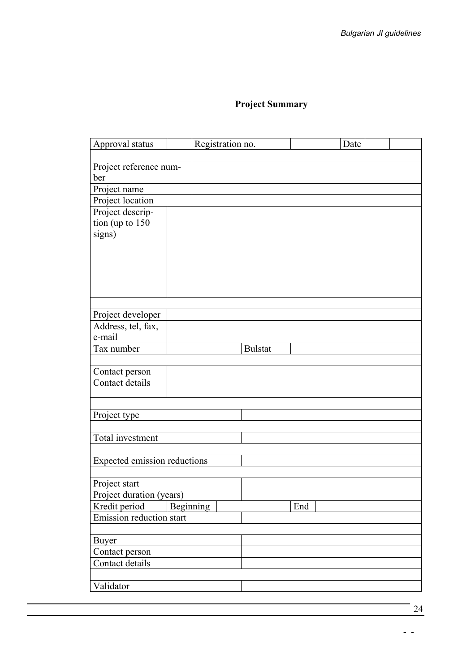# **Project Summary**

| Approval status                     | Registration no. |                |     | Date |  |  |
|-------------------------------------|------------------|----------------|-----|------|--|--|
|                                     |                  |                |     |      |  |  |
| Project reference num-              |                  |                |     |      |  |  |
| ber                                 |                  |                |     |      |  |  |
| Project name                        |                  |                |     |      |  |  |
| Project location                    |                  |                |     |      |  |  |
| Project descrip-                    |                  |                |     |      |  |  |
| tion (up to 150                     |                  |                |     |      |  |  |
| signs)                              |                  |                |     |      |  |  |
|                                     |                  |                |     |      |  |  |
|                                     |                  |                |     |      |  |  |
|                                     |                  |                |     |      |  |  |
|                                     |                  |                |     |      |  |  |
|                                     |                  |                |     |      |  |  |
|                                     |                  |                |     |      |  |  |
| Project developer                   |                  |                |     |      |  |  |
| Address, tel, fax,<br>e-mail        |                  |                |     |      |  |  |
| Tax number                          |                  | <b>Bulstat</b> |     |      |  |  |
|                                     |                  |                |     |      |  |  |
| Contact person                      |                  |                |     |      |  |  |
| Contact details                     |                  |                |     |      |  |  |
|                                     |                  |                |     |      |  |  |
|                                     |                  |                |     |      |  |  |
| Project type                        |                  |                |     |      |  |  |
|                                     |                  |                |     |      |  |  |
| Total investment                    |                  |                |     |      |  |  |
|                                     |                  |                |     |      |  |  |
| <b>Expected emission reductions</b> |                  |                |     |      |  |  |
|                                     |                  |                |     |      |  |  |
| Project start                       |                  |                |     |      |  |  |
| Project duration (years)            |                  |                |     |      |  |  |
| Kredit period                       | Beginning        |                | End |      |  |  |
| Emission reduction start            |                  |                |     |      |  |  |
|                                     |                  |                |     |      |  |  |
| <b>Buyer</b>                        |                  |                |     |      |  |  |
| Contact person                      |                  |                |     |      |  |  |
| Contact details                     |                  |                |     |      |  |  |
|                                     |                  |                |     |      |  |  |
| Validator                           |                  |                |     |      |  |  |

24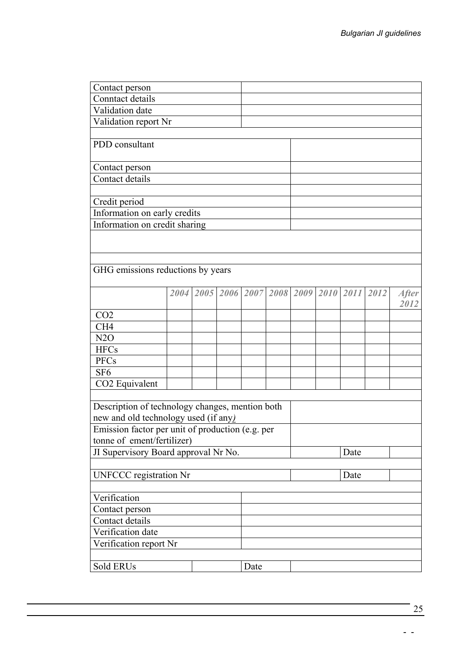| Contact person                                   |  |  |  |                                         |      |  |      |  |      |                      |
|--------------------------------------------------|--|--|--|-----------------------------------------|------|--|------|--|------|----------------------|
| Conntact details                                 |  |  |  |                                         |      |  |      |  |      |                      |
| Validation date                                  |  |  |  |                                         |      |  |      |  |      |                      |
| Validation report Nr                             |  |  |  |                                         |      |  |      |  |      |                      |
|                                                  |  |  |  |                                         |      |  |      |  |      |                      |
| PDD consultant                                   |  |  |  |                                         |      |  |      |  |      |                      |
|                                                  |  |  |  |                                         |      |  |      |  |      |                      |
| Contact person                                   |  |  |  |                                         |      |  |      |  |      |                      |
| Contact details                                  |  |  |  |                                         |      |  |      |  |      |                      |
| Credit period                                    |  |  |  |                                         |      |  |      |  |      |                      |
| Information on early credits                     |  |  |  |                                         |      |  |      |  |      |                      |
| Information on credit sharing                    |  |  |  |                                         |      |  |      |  |      |                      |
|                                                  |  |  |  |                                         |      |  |      |  |      |                      |
|                                                  |  |  |  |                                         |      |  |      |  |      |                      |
|                                                  |  |  |  |                                         |      |  |      |  |      |                      |
| GHG emissions reductions by years                |  |  |  |                                         |      |  |      |  |      |                      |
|                                                  |  |  |  |                                         |      |  |      |  |      |                      |
|                                                  |  |  |  | 2004 2005 2006 2007 2008 2009 2010 2011 |      |  |      |  | 2012 | <b>After</b><br>2012 |
| CO <sub>2</sub>                                  |  |  |  |                                         |      |  |      |  |      |                      |
| CH <sub>4</sub>                                  |  |  |  |                                         |      |  |      |  |      |                      |
| N2O                                              |  |  |  |                                         |      |  |      |  |      |                      |
| <b>HFCs</b>                                      |  |  |  |                                         |      |  |      |  |      |                      |
| <b>PFCs</b>                                      |  |  |  |                                         |      |  |      |  |      |                      |
| SF <sub>6</sub>                                  |  |  |  |                                         |      |  |      |  |      |                      |
| CO2 Equivalent                                   |  |  |  |                                         |      |  |      |  |      |                      |
|                                                  |  |  |  |                                         |      |  |      |  |      |                      |
| Description of technology changes, mention both  |  |  |  |                                         |      |  |      |  |      |                      |
| new and old technology used (if any)             |  |  |  |                                         |      |  |      |  |      |                      |
| Emission factor per unit of production (e.g. per |  |  |  |                                         |      |  |      |  |      |                      |
| tonne of ement/fertilizer)                       |  |  |  |                                         |      |  |      |  |      |                      |
| JI Supervisory Board approval Nr No.             |  |  |  |                                         | Date |  |      |  |      |                      |
|                                                  |  |  |  |                                         |      |  |      |  |      |                      |
| <b>UNFCCC</b> registration Nr                    |  |  |  |                                         |      |  | Date |  |      |                      |
| Verification                                     |  |  |  |                                         |      |  |      |  |      |                      |
| Contact person                                   |  |  |  |                                         |      |  |      |  |      |                      |
| Contact details                                  |  |  |  |                                         |      |  |      |  |      |                      |
| Verification date                                |  |  |  |                                         |      |  |      |  |      |                      |
| Verification report Nr                           |  |  |  |                                         |      |  |      |  |      |                      |
|                                                  |  |  |  |                                         |      |  |      |  |      |                      |
| Sold ERUs<br>Date                                |  |  |  |                                         |      |  |      |  |      |                      |